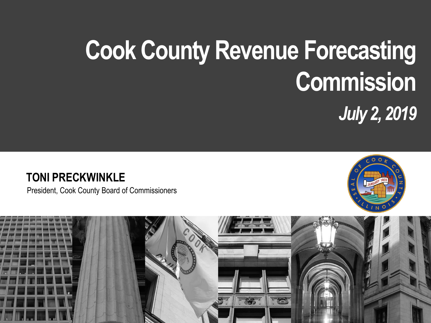# **Cook County Revenue Forecasting Commission** *July 2, 2019*

#### **TONI PRECKWINKLE**

President, Cook County Board of Commissioners



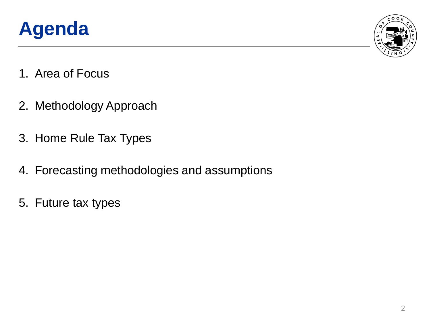



- 1. Area of Focus
- 2. Methodology Approach
- 3. Home Rule Tax Types
- 4. Forecasting methodologies and assumptions
- 5. Future tax types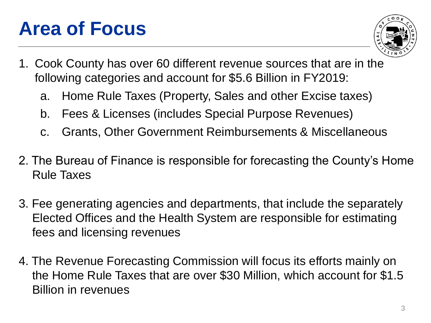### **Area of Focus**



- 1. Cook County has over 60 different revenue sources that are in the following categories and account for \$5.6 Billion in FY2019:
	- a. Home Rule Taxes (Property, Sales and other Excise taxes)
	- b. Fees & Licenses (includes Special Purpose Revenues)
	- c. Grants, Other Government Reimbursements & Miscellaneous
- 2. The Bureau of Finance is responsible for forecasting the County's Home Rule Taxes
- 3. Fee generating agencies and departments, that include the separately Elected Offices and the Health System are responsible for estimating fees and licensing revenues
- 4. The Revenue Forecasting Commission will focus its efforts mainly on the Home Rule Taxes that are over \$30 Million, which account for \$1.5 Billion in revenues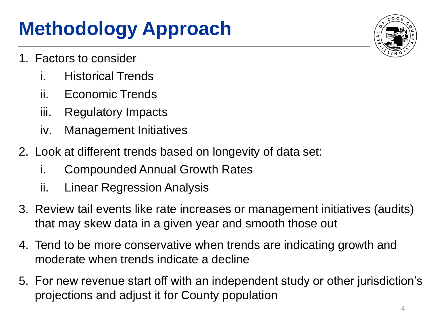## **Methodology Approach**

- 1. Factors to consider
	- i. Historical Trends
	- ii. Economic Trends
	- iii. Regulatory Impacts
	- iv. Management Initiatives
- 2. Look at different trends based on longevity of data set:
	- i. Compounded Annual Growth Rates
	- ii. Linear Regression Analysis
- 3. Review tail events like rate increases or management initiatives (audits) that may skew data in a given year and smooth those out
- 4. Tend to be more conservative when trends are indicating growth and moderate when trends indicate a decline
- 5. For new revenue start off with an independent study or other jurisdiction's projections and adjust it for County population

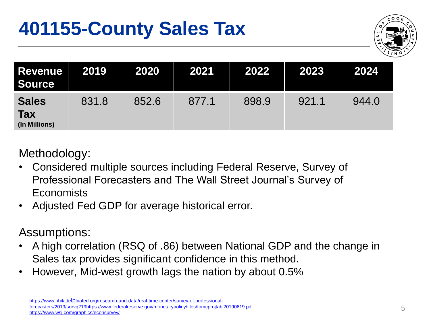### **401155-County Sales Tax**



| <b>Revenue</b><br><b>Source</b>             | 2019  | 2020  | 2021  | 2022  | 2023  | 2024  |
|---------------------------------------------|-------|-------|-------|-------|-------|-------|
| <b>Sales</b><br><b>Tax</b><br>(In Millions) | 831.8 | 852.6 | 877.1 | 898.9 | 921.1 | 944.0 |

Methodology:

- Considered multiple sources including Federal Reserve, Survey of Professional Forecasters and The Wall Street Journal's Survey of **Economists**
- Adjusted Fed GDP for average historical error.

- A high correlation (RSQ of .86) between National GDP and the change in Sales tax provides significant confidence in this method.
- However, Mid-west growth lags the nation by about 0.5%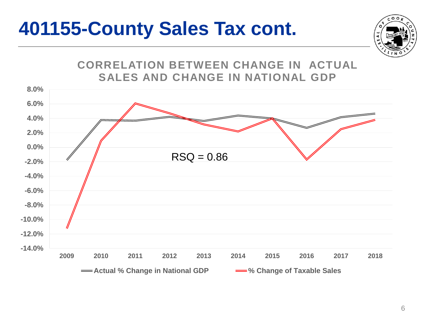#### **401155-County Sales Tax cont.**

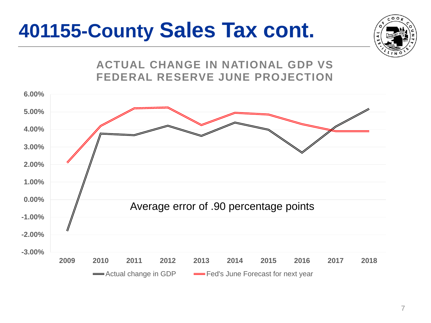## **401155-County Sales Tax cont.**



**ACTUAL CHANGE IN NATIONAL GDP VS FEDERAL RESERVE JUNE PROJECTION**

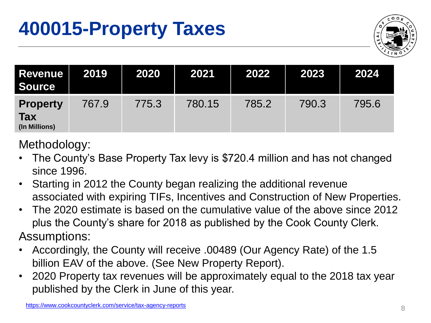

| <b>Revenue</b><br><b>Source</b>                | 2019  | 2020  | 2021   | 2022  | 2023  | 2024  |
|------------------------------------------------|-------|-------|--------|-------|-------|-------|
| <b>Property</b><br><b>Tax</b><br>(In Millions) | 767.9 | 775.3 | 780.15 | 785.2 | 790.3 | 795.6 |

Methodology:

- The County's Base Property Tax levy is \$720.4 million and has not changed since 1996.
- Starting in 2012 the County began realizing the additional revenue associated with expiring TIFs, Incentives and Construction of New Properties.
- The 2020 estimate is based on the cumulative value of the above since 2012 plus the County's share for 2018 as published by the Cook County Clerk. Assumptions:
- Accordingly, the County will receive .00489 (Our Agency Rate) of the 1.5 billion EAV of the above. (See New Property Report).
- 2020 Property tax revenues will be approximately equal to the 2018 tax year published by the Clerk in June of this year.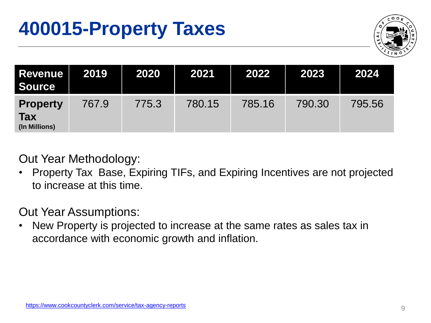

| <b>Revenue</b><br><b>Source</b>                | 2019  | 2020  | 2021   | 2022   | 2023   | 2024   |
|------------------------------------------------|-------|-------|--------|--------|--------|--------|
| <b>Property</b><br><b>Tax</b><br>(In Millions) | 767.9 | 775.3 | 780.15 | 785.16 | 790.30 | 795.56 |

Out Year Methodology:

• Property Tax Base, Expiring TIFs, and Expiring Incentives are not projected to increase at this time.

Out Year Assumptions:

• New Property is projected to increase at the same rates as sales tax in accordance with economic growth and inflation.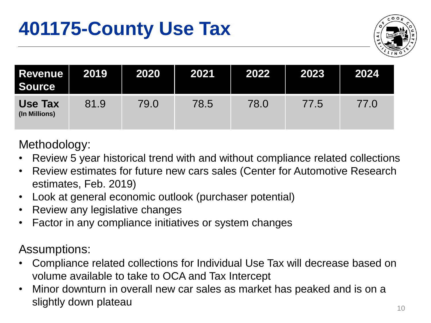

| Revenue  <br><b>Source</b>      | 2019 | 2020 | 2021 | 2022 | 2023 | 2024 |
|---------------------------------|------|------|------|------|------|------|
| <b>Use Tax</b><br>(In Millions) | 81.9 | 79.0 | 78.5 | 78.0 | 77.5 | 77.0 |

#### Methodology:

- Review 5 year historical trend with and without compliance related collections
- Review estimates for future new cars sales (Center for Automotive Research estimates, Feb. 2019)
- Look at general economic outlook (purchaser potential)
- Review any legislative changes
- Factor in any compliance initiatives or system changes

- Compliance related collections for Individual Use Tax will decrease based on volume available to take to OCA and Tax Intercept
- Minor downturn in overall new car sales as market has peaked and is on a slightly down plateau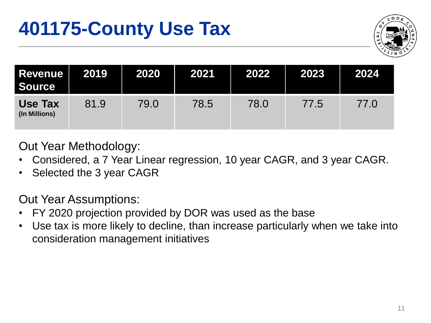

| <b>Revenue</b><br><b>Source</b> | 2019 | 2020 | 2021 | 2022 | 2023 | 2024 |
|---------------------------------|------|------|------|------|------|------|
| <b>Use Tax</b><br>(In Millions) | 81.9 | 79.0 | 78.5 | 78.0 | 77.5 | 77.0 |

Out Year Methodology:

- Considered, a 7 Year Linear regression, 10 year CAGR, and 3 year CAGR.
- Selected the 3 year CAGR

Out Year Assumptions:

- FY 2020 projection provided by DOR was used as the base
- Use tax is more likely to decline, than increase particularly when we take into consideration management initiatives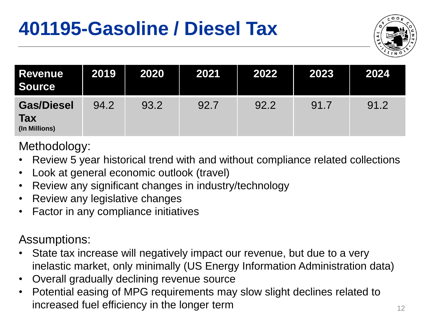## **401195-Gasoline / Diesel Tax**



| <b>Revenue</b><br><b>Source</b>                  | 2019 | 2020 | 2021 | 2022 | 2023 | 2024 |
|--------------------------------------------------|------|------|------|------|------|------|
| <b>Gas/Diesel</b><br><b>Tax</b><br>(In Millions) | 94.2 | 93.2 | 92.7 | 92.2 | 91.7 | 91.2 |

Methodology:

- Review 5 year historical trend with and without compliance related collections
- Look at general economic outlook (travel)
- Review any significant changes in industry/technology
- Review any legislative changes
- Factor in any compliance initiatives

- State tax increase will negatively impact our revenue, but due to a very inelastic market, only minimally (US Energy Information Administration data)
- Overall gradually declining revenue source
- Potential easing of MPG requirements may slow slight declines related to increased fuel efficiency in the longer term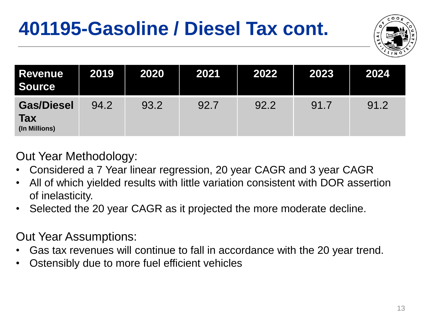## **401195-Gasoline / Diesel Tax cont.**



| <b>Revenue</b><br><b>Source</b>                  | 2019 | 2020 | 2021 | 2022 | 2023 | 2024 |
|--------------------------------------------------|------|------|------|------|------|------|
| <b>Gas/Diesel</b><br><b>Tax</b><br>(In Millions) | 94.2 | 93.2 | 92.7 | 92.2 | 91.7 | 91.2 |

Out Year Methodology:

- Considered a 7 Year linear regression, 20 year CAGR and 3 year CAGR
- All of which yielded results with little variation consistent with DOR assertion of inelasticity.
- Selected the 20 year CAGR as it projected the more moderate decline.

#### Out Year Assumptions:

- Gas tax revenues will continue to fall in accordance with the 20 year trend.
- Ostensibly due to more fuel efficient vehicles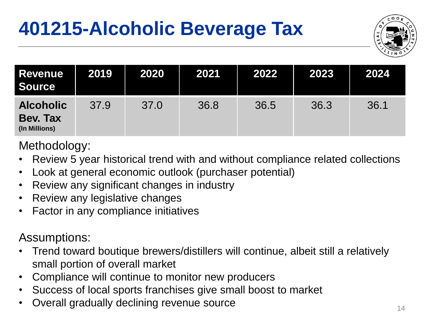## **401215-Alcoholic Beverage Tax**



| <b>Revenue</b><br><b>Source</b>                      | 2019 | 2020 | 2021 | 2022 | 2023 | 2024 |
|------------------------------------------------------|------|------|------|------|------|------|
| <b>Alcoholic</b><br><b>Bev. Tax</b><br>(In Millions) | 37.9 | 37.0 | 36.8 | 36.5 | 36.3 | 36.1 |

Methodology:

- Review 5 year historical trend with and without compliance related collections
- Look at general economic outlook (purchaser potential)
- Review any significant changes in industry
- Review any legislative changes
- Factor in any compliance initiatives

- Trend toward boutique brewers/distillers will continue, albeit still a relatively small portion of overall market
- Compliance will continue to monitor new producers
- Success of local sports franchises give small boost to market
- Overall gradually declining revenue source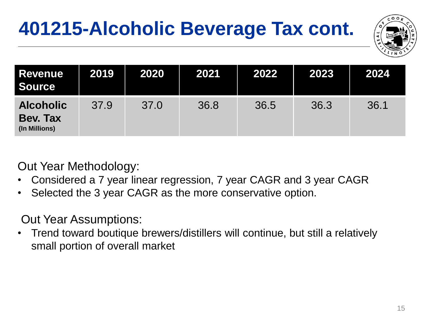## **401215-Alcoholic Beverage Tax cont.**



| <b>Revenue</b><br><b>Source</b>               | 2019 | 2020 | 2021 | 2022 | 2023 | 2024 |
|-----------------------------------------------|------|------|------|------|------|------|
| <b>Alcoholic</b><br>Bev. Tax<br>(In Millions) | 37.9 | 37.0 | 36.8 | 36.5 | 36.3 | 36.1 |

Out Year Methodology:

- Considered a 7 year linear regression, 7 year CAGR and 3 year CAGR
- Selected the 3 year CAGR as the more conservative option.

Out Year Assumptions:

• Trend toward boutique brewers/distillers will continue, but still a relatively small portion of overall market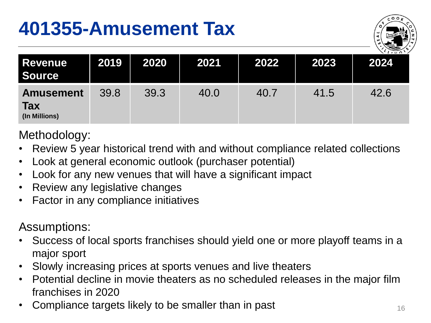### **401355-Amusement Tax**



| <b>Revenue</b><br><b>Source</b>                 | 2019 | 2020 | 2021 | 2022 | 2023 | $\sqrt{U_{\text{N}}\Omega}$<br>2024 |
|-------------------------------------------------|------|------|------|------|------|-------------------------------------|
| <b>Amusement</b><br><b>Tax</b><br>(In Millions) | 39.8 | 39.3 | 40.0 | 40.7 | 41.5 | 42.6                                |

Methodology:

- Review 5 year historical trend with and without compliance related collections
- Look at general economic outlook (purchaser potential)
- Look for any new venues that will have a significant impact
- Review any legislative changes
- Factor in any compliance initiatives

- Success of local sports franchises should yield one or more playoff teams in a major sport
- Slowly increasing prices at sports venues and live theaters
- Potential decline in movie theaters as no scheduled releases in the major film franchises in 2020
- Compliance targets likely to be smaller than in past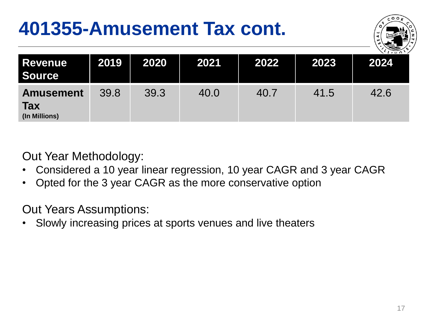### **401355-Amusement Tax cont.**



| <b>Revenue</b><br><b>Source</b>                 | 2019 | 2020 | 2021 | 2022 | 2023 | $\sqrt{1+20}$<br>2024 |
|-------------------------------------------------|------|------|------|------|------|-----------------------|
| <b>Amusement</b><br><b>Tax</b><br>(In Millions) | 39.8 | 39.3 | 40.0 | 40.7 | 41.5 | 42.6                  |

Out Year Methodology:

- Considered a 10 year linear regression, 10 year CAGR and 3 year CAGR
- Opted for the 3 year CAGR as the more conservative option

Out Years Assumptions:

• Slowly increasing prices at sports venues and live theaters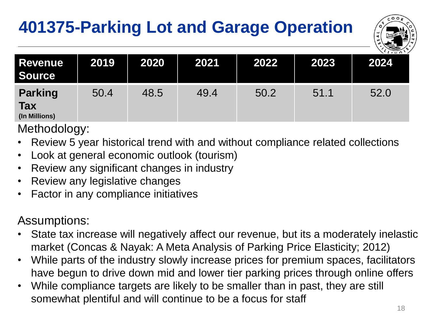#### **401375-Parking Lot and Garage Operation**



| <b>Revenue</b><br><b>Source</b>               | 2019 | 2020 | 2021 | 2022 | 2023 | $\sqrt{(\sqrt{N}a)^2}$<br>2024 |
|-----------------------------------------------|------|------|------|------|------|--------------------------------|
| <b>Parking</b><br><b>Tax</b><br>(In Millions) | 50.4 | 48.5 | 49.4 | 50.2 | 51.1 | 52.0                           |

Methodology:

- Review 5 year historical trend with and without compliance related collections
- Look at general economic outlook (tourism)
- Review any significant changes in industry
- Review any legislative changes
- Factor in any compliance initiatives

- State tax increase will negatively affect our revenue, but its a moderately inelastic market (Concas & Nayak: A Meta Analysis of Parking Price Elasticity; 2012)
- While parts of the industry slowly increase prices for premium spaces, facilitators have begun to drive down mid and lower tier parking prices through online offers
- While compliance targets are likely to be smaller than in past, they are still somewhat plentiful and will continue to be a focus for staff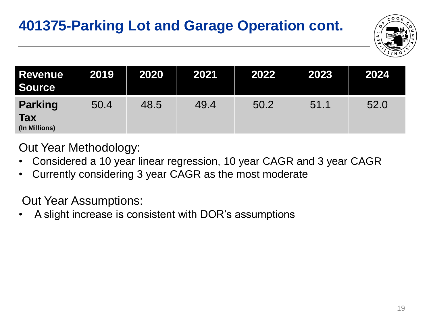

| <b>Revenue</b><br><b>Source</b>               | 2019 | 2020 | 2021 | 2022 | 2023 | 2024 |
|-----------------------------------------------|------|------|------|------|------|------|
| <b>Parking</b><br><b>Tax</b><br>(In Millions) | 50.4 | 48.5 | 49.4 | 50.2 | 51.1 | 52.0 |

Out Year Methodology:

- Considered a 10 year linear regression, 10 year CAGR and 3 year CAGR
- Currently considering 3 year CAGR as the most moderate

Out Year Assumptions:

• A slight increase is consistent with DOR's assumptions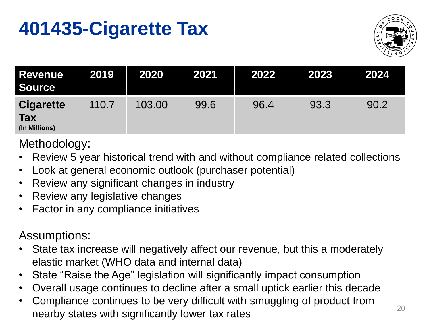

| <b>Revenue</b><br><b>Source</b>                 | 2019  | 2020   | 2021 | 2022 | 2023 | 2024 |
|-------------------------------------------------|-------|--------|------|------|------|------|
| <b>Cigarette</b><br><b>Tax</b><br>(In Millions) | 110.7 | 103.00 | 99.6 | 96.4 | 93.3 | 90.2 |

Methodology:

- Review 5 year historical trend with and without compliance related collections
- Look at general economic outlook (purchaser potential)
- Review any significant changes in industry
- Review any legislative changes
- Factor in any compliance initiatives

- State tax increase will negatively affect our revenue, but this a moderately elastic market (WHO data and internal data)
- State "Raise the Age" legislation will significantly impact consumption
- Overall usage continues to decline after a small uptick earlier this decade
- Compliance continues to be very difficult with smuggling of product from nearby states with significantly lower tax rates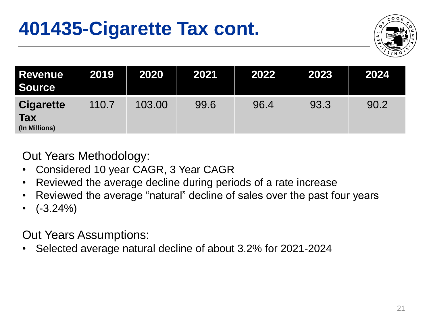

| <b>Revenue</b><br><b>Source</b>                 | 2019  | 2020   | 2021 | 2022 | 2023 | 2024 |
|-------------------------------------------------|-------|--------|------|------|------|------|
| <b>Cigarette</b><br><b>Tax</b><br>(In Millions) | 110.7 | 103.00 | 99.6 | 96.4 | 93.3 | 90.2 |

Out Years Methodology:

- Considered 10 year CAGR, 3 Year CAGR
- Reviewed the average decline during periods of a rate increase
- Reviewed the average "natural" decline of sales over the past four years
- $(-3.24\%)$

Out Years Assumptions:

• Selected average natural decline of about 3.2% for 2021-2024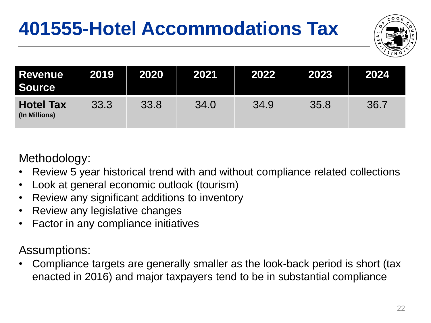## **401555-Hotel Accommodations Tax**



| <b>Revenue</b><br><b>Source</b>   | 2019 | 2020 | 2021 | 2022 | 2023 | 2024 |
|-----------------------------------|------|------|------|------|------|------|
| <b>Hotel Tax</b><br>(In Millions) | 33.3 | 33.8 | 34.0 | 34.9 | 35.8 | 36.7 |

#### Methodology:

- Review 5 year historical trend with and without compliance related collections
- Look at general economic outlook (tourism)
- Review any significant additions to inventory
- Review any legislative changes
- Factor in any compliance initiatives

Assumptions:

• Compliance targets are generally smaller as the look-back period is short (tax enacted in 2016) and major taxpayers tend to be in substantial compliance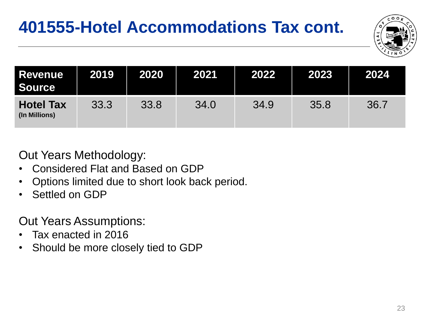#### **401555-Hotel Accommodations Tax cont.**



| <b>Revenue</b><br><b>Source</b>   | 2019 | 2020 | 2021 | 2022 | 2023 | 2024 |
|-----------------------------------|------|------|------|------|------|------|
| <b>Hotel Tax</b><br>(In Millions) | 33.3 | 33.8 | 34.0 | 34.9 | 35.8 | 36.7 |

Out Years Methodology:

- Considered Flat and Based on GDP
- Options limited due to short look back period.
- Settled on GDP

Out Years Assumptions:

- Tax enacted in 2016
- Should be more closely tied to GDP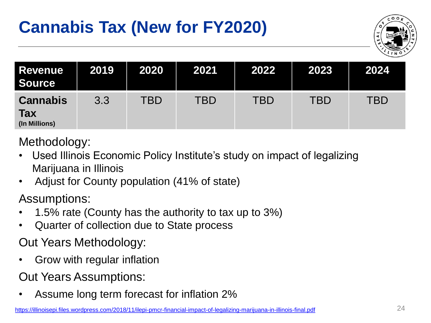#### **Cannabis Tax (New for FY2020)**



| <b>Revenue</b><br>Source                       | 2019 | 2020       | 2021       | 2022       | 2023       | 2024 |
|------------------------------------------------|------|------------|------------|------------|------------|------|
| <b>Cannabis</b><br><b>Tax</b><br>(In Millions) | 3.3  | <b>TBD</b> | <b>TBD</b> | <b>TBD</b> | <b>TBD</b> | TBD  |

Methodology:

- Used Illinois Economic Policy Institute's study on impact of legalizing Marijuana in Illinois
- Adjust for County population (41% of state)

Assumptions:

- 1.5% rate (County has the authority to tax up to 3%)
- Quarter of collection due to State process

Out Years Methodology:

• Grow with regular inflation

Out Years Assumptions:

• Assume long term forecast for inflation 2%